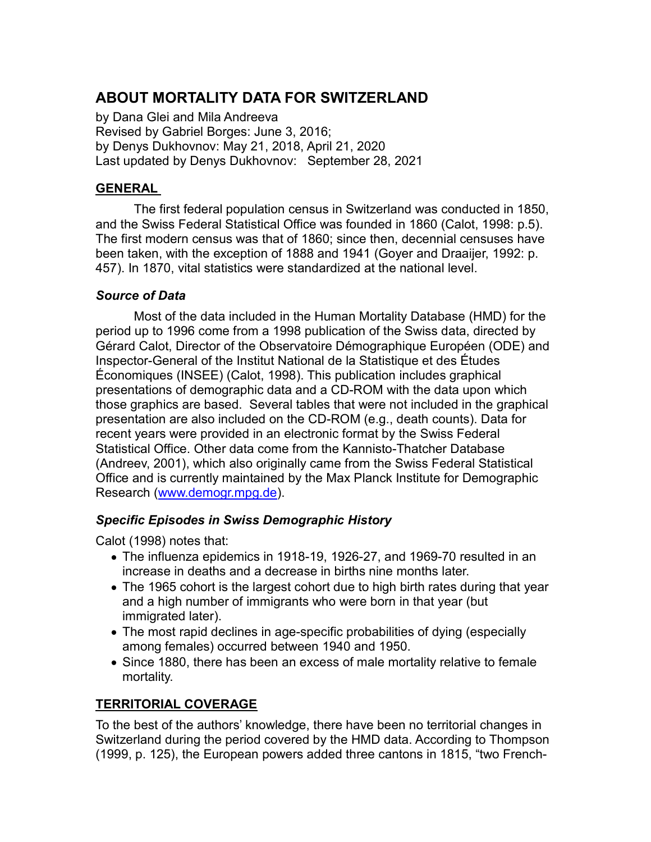# ABOUT MORTALITY DATA FOR SWITZERLAND

by Dana Glei and Mila Andreeva Revised by Gabriel Borges: June 3, 2016; by Denys Dukhovnov: May 21, 2018, April 21, 2020 Last updated by Denys Dukhovnov: September 28, 2021

## GENERAL

The first federal population census in Switzerland was conducted in 1850, and the Swiss Federal Statistical Office was founded in 1860 (Calot, 1998: p.5). The first modern census was that of 1860; since then, decennial censuses have been taken, with the exception of 1888 and 1941 (Goyer and Draaijer, 1992: p. 457). In 1870, vital statistics were standardized at the national level.

## Source of Data

Most of the data included in the Human Mortality Database (HMD) for the period up to 1996 come from a 1998 publication of the Swiss data, directed by Gérard Calot, Director of the Observatoire Démographique Européen (ODE) and Inspector-General of the Institut National de la Statistique et des Études Économiques (INSEE) (Calot, 1998). This publication includes graphical presentations of demographic data and a CD-ROM with the data upon which those graphics are based. Several tables that were not included in the graphical presentation are also included on the CD-ROM (e.g., death counts). Data for recent years were provided in an electronic format by the Swiss Federal Statistical Office. Other data come from the Kannisto-Thatcher Database (Andreev, 2001), which also originally came from the Swiss Federal Statistical Office and is currently maintained by the Max Planck Institute for Demographic Research (www.demogr.mpg.de).

## Specific Episodes in Swiss Demographic History

Calot (1998) notes that:

- The influenza epidemics in 1918-19, 1926-27, and 1969-70 resulted in an increase in deaths and a decrease in births nine months later.
- The 1965 cohort is the largest cohort due to high birth rates during that year and a high number of immigrants who were born in that year (but immigrated later).
- The most rapid declines in age-specific probabilities of dying (especially among females) occurred between 1940 and 1950.
- Since 1880, there has been an excess of male mortality relative to female mortality.

## TERRITORIAL COVERAGE

To the best of the authors' knowledge, there have been no territorial changes in Switzerland during the period covered by the HMD data. According to Thompson (1999, p. 125), the European powers added three cantons in 1815, "two French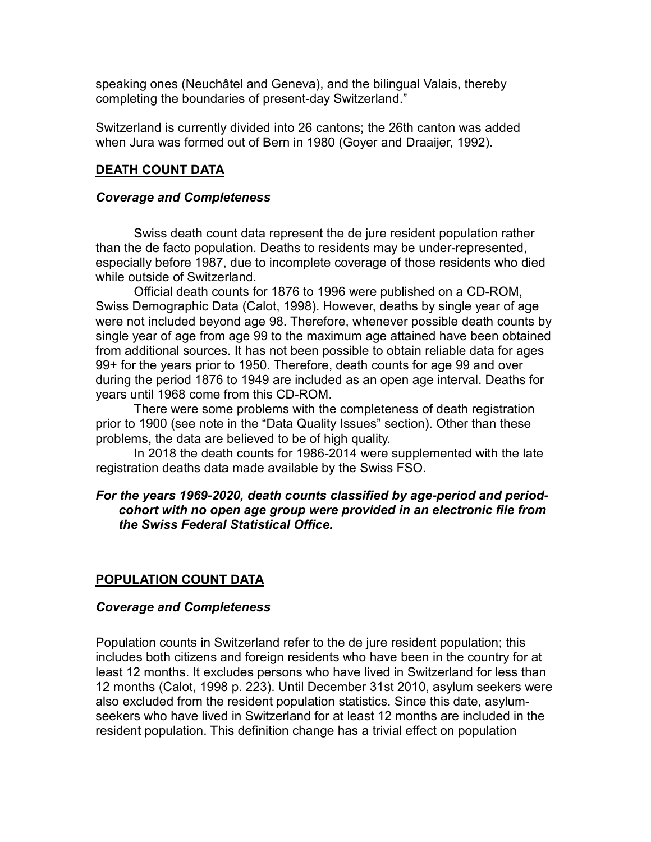speaking ones (Neuchâtel and Geneva), and the bilingual Valais, thereby completing the boundaries of present-day Switzerland."

Switzerland is currently divided into 26 cantons; the 26th canton was added when Jura was formed out of Bern in 1980 (Goyer and Draaijer, 1992).

### DEATH COUNT DATA

### Coverage and Completeness

Swiss death count data represent the de jure resident population rather than the de facto population. Deaths to residents may be under-represented, especially before 1987, due to incomplete coverage of those residents who died while outside of Switzerland.

 Official death counts for 1876 to 1996 were published on a CD-ROM, Swiss Demographic Data (Calot, 1998). However, deaths by single year of age were not included beyond age 98. Therefore, whenever possible death counts by single year of age from age 99 to the maximum age attained have been obtained from additional sources. It has not been possible to obtain reliable data for ages 99+ for the years prior to 1950. Therefore, death counts for age 99 and over during the period 1876 to 1949 are included as an open age interval. Deaths for years until 1968 come from this CD-ROM.

There were some problems with the completeness of death registration prior to 1900 (see note in the "Data Quality Issues" section). Other than these problems, the data are believed to be of high quality.

In 2018 the death counts for 1986-2014 were supplemented with the late registration deaths data made available by the Swiss FSO.

### For the years 1969-2020, death counts classified by age-period and periodcohort with no open age group were provided in an electronic file from the Swiss Federal Statistical Office.

### POPULATION COUNT DATA

#### Coverage and Completeness

Population counts in Switzerland refer to the de jure resident population; this includes both citizens and foreign residents who have been in the country for at least 12 months. It excludes persons who have lived in Switzerland for less than 12 months (Calot, 1998 p. 223). Until December 31st 2010, asylum seekers were also excluded from the resident population statistics. Since this date, asylumseekers who have lived in Switzerland for at least 12 months are included in the resident population. This definition change has a trivial effect on population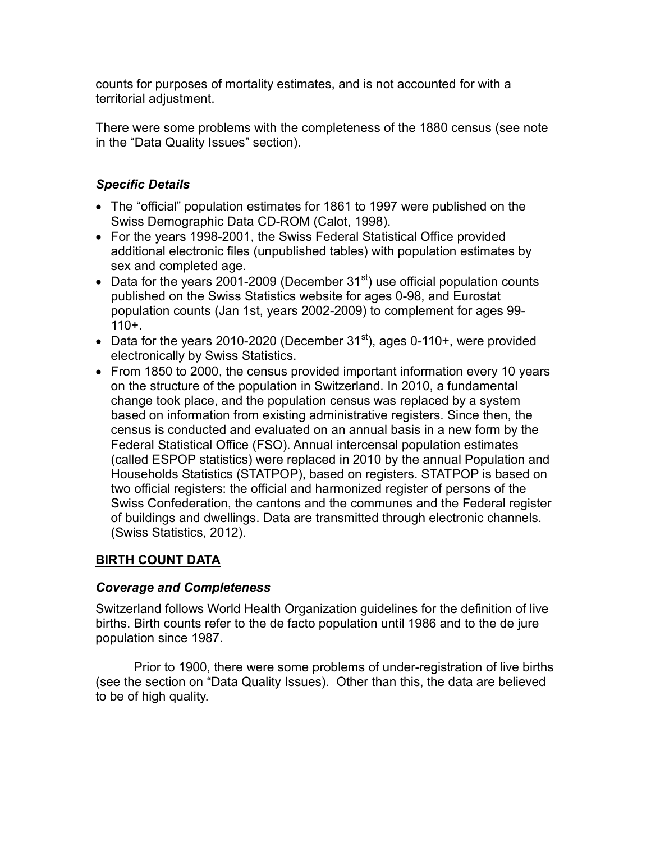counts for purposes of mortality estimates, and is not accounted for with a territorial adjustment.

There were some problems with the completeness of the 1880 census (see note in the "Data Quality Issues" section).

## Specific Details

- The "official" population estimates for 1861 to 1997 were published on the Swiss Demographic Data CD-ROM (Calot, 1998).
- For the years 1998-2001, the Swiss Federal Statistical Office provided additional electronic files (unpublished tables) with population estimates by sex and completed age.
- Data for the years 2001-2009 (December  $31<sup>st</sup>$ ) use official population counts published on the Swiss Statistics website for ages 0-98, and Eurostat population counts (Jan 1st, years 2002-2009) to complement for ages 99-  $110 +$ .
- Data for the years 2010-2020 (December  $31<sup>st</sup>$ ), ages 0-110+, were provided electronically by Swiss Statistics.
- From 1850 to 2000, the census provided important information every 10 years on the structure of the population in Switzerland. In 2010, a fundamental change took place, and the population census was replaced by a system based on information from existing administrative registers. Since then, the census is conducted and evaluated on an annual basis in a new form by the Federal Statistical Office (FSO). Annual intercensal population estimates (called ESPOP statistics) were replaced in 2010 by the annual Population and Households Statistics (STATPOP), based on registers. STATPOP is based on two official registers: the official and harmonized register of persons of the Swiss Confederation, the cantons and the communes and the Federal register of buildings and dwellings. Data are transmitted through electronic channels. (Swiss Statistics, 2012).

## BIRTH COUNT DATA

### Coverage and Completeness

Switzerland follows World Health Organization guidelines for the definition of live births. Birth counts refer to the de facto population until 1986 and to the de jure population since 1987.

Prior to 1900, there were some problems of under-registration of live births (see the section on "Data Quality Issues). Other than this, the data are believed to be of high quality.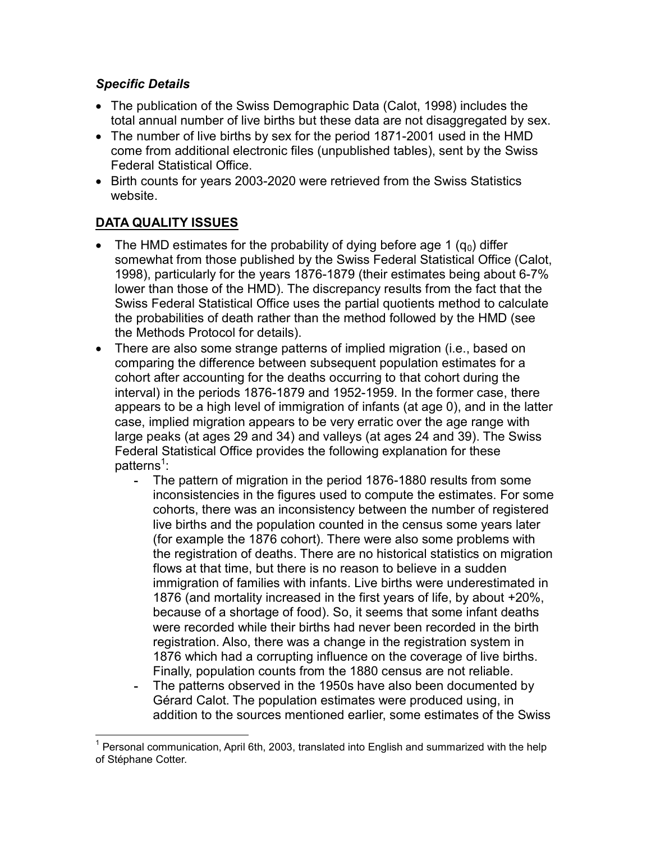## Specific Details

- The publication of the Swiss Demographic Data (Calot, 1998) includes the total annual number of live births but these data are not disaggregated by sex.
- The number of live births by sex for the period 1871-2001 used in the HMD come from additional electronic files (unpublished tables), sent by the Swiss Federal Statistical Office.
- Birth counts for years 2003-2020 were retrieved from the Swiss Statistics website.

## DATA QUALITY ISSUES

 $\overline{a}$ 

- The HMD estimates for the probability of dying before age 1  $(q_0)$  differ somewhat from those published by the Swiss Federal Statistical Office (Calot, 1998), particularly for the years 1876-1879 (their estimates being about 6-7% lower than those of the HMD). The discrepancy results from the fact that the Swiss Federal Statistical Office uses the partial quotients method to calculate the probabilities of death rather than the method followed by the HMD (see the Methods Protocol for details).
- There are also some strange patterns of implied migration (i.e., based on comparing the difference between subsequent population estimates for a cohort after accounting for the deaths occurring to that cohort during the interval) in the periods 1876-1879 and 1952-1959. In the former case, there appears to be a high level of immigration of infants (at age 0), and in the latter case, implied migration appears to be very erratic over the age range with large peaks (at ages 29 and 34) and valleys (at ages 24 and 39). The Swiss Federal Statistical Office provides the following explanation for these patterns<sup>1</sup>:
	- The pattern of migration in the period 1876-1880 results from some inconsistencies in the figures used to compute the estimates. For some cohorts, there was an inconsistency between the number of registered live births and the population counted in the census some years later (for example the 1876 cohort). There were also some problems with the registration of deaths. There are no historical statistics on migration flows at that time, but there is no reason to believe in a sudden immigration of families with infants. Live births were underestimated in 1876 (and mortality increased in the first years of life, by about +20%, because of a shortage of food). So, it seems that some infant deaths were recorded while their births had never been recorded in the birth registration. Also, there was a change in the registration system in 1876 which had a corrupting influence on the coverage of live births. Finally, population counts from the 1880 census are not reliable.
	- The patterns observed in the 1950s have also been documented by Gérard Calot. The population estimates were produced using, in addition to the sources mentioned earlier, some estimates of the Swiss

 $^{\rm 1}$  Personal communication, April 6th, 2003, translated into English and summarized with the help of Stéphane Cotter.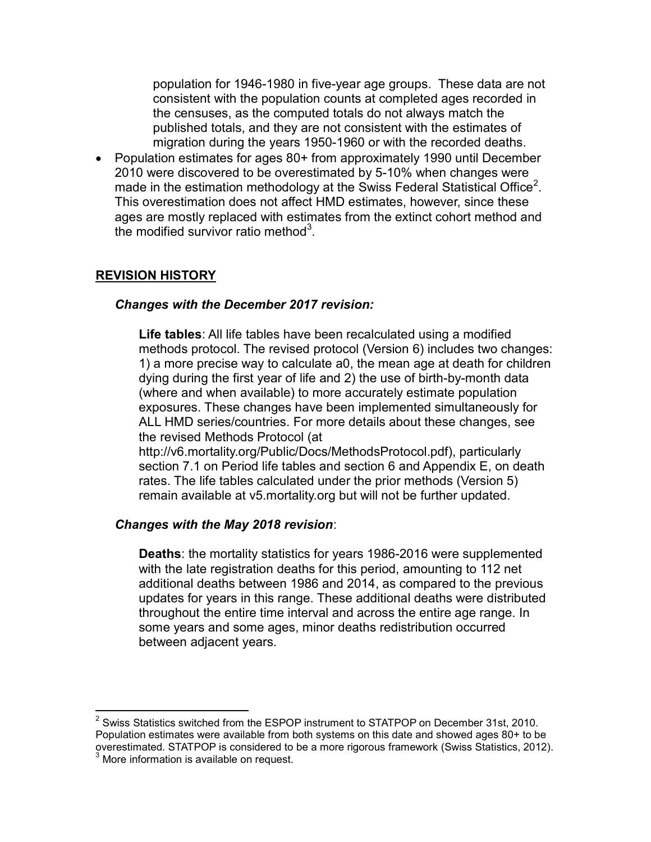population for 1946-1980 in five-year age groups. These data are not consistent with the population counts at completed ages recorded in the censuses, as the computed totals do not always match the published totals, and they are not consistent with the estimates of migration during the years 1950-1960 or with the recorded deaths.

 Population estimates for ages 80+ from approximately 1990 until December 2010 were discovered to be overestimated by 5-10% when changes were made in the estimation methodology at the Swiss Federal Statistical Office $^2$ . This overestimation does not affect HMD estimates, however, since these ages are mostly replaced with estimates from the extinct cohort method and the modified survivor ratio method $3$ .

### REVISION HISTORY

#### Changes with the December 2017 revision:

Life tables: All life tables have been recalculated using a modified methods protocol. The revised protocol (Version 6) includes two changes: 1) a more precise way to calculate a0, the mean age at death for children dying during the first year of life and 2) the use of birth-by-month data (where and when available) to more accurately estimate population exposures. These changes have been implemented simultaneously for ALL HMD series/countries. For more details about these changes, see the revised Methods Protocol (at

http://v6.mortality.org/Public/Docs/MethodsProtocol.pdf), particularly section 7.1 on Period life tables and section 6 and Appendix E, on death rates. The life tables calculated under the prior methods (Version 5) remain available at v5.mortality.org but will not be further updated.

#### Changes with the May 2018 revision:

Deaths: the mortality statistics for years 1986-2016 were supplemented with the late registration deaths for this period, amounting to 112 net additional deaths between 1986 and 2014, as compared to the previous updates for years in this range. These additional deaths were distributed throughout the entire time interval and across the entire age range. In some years and some ages, minor deaths redistribution occurred between adjacent years.

 2 Swiss Statistics switched from the ESPOP instrument to STATPOP on December 31st, 2010. Population estimates were available from both systems on this date and showed ages 80+ to be overestimated. STATPOP is considered to be a more rigorous framework (Swiss Statistics, 2012).<br><sup>3</sup> More information is available on request.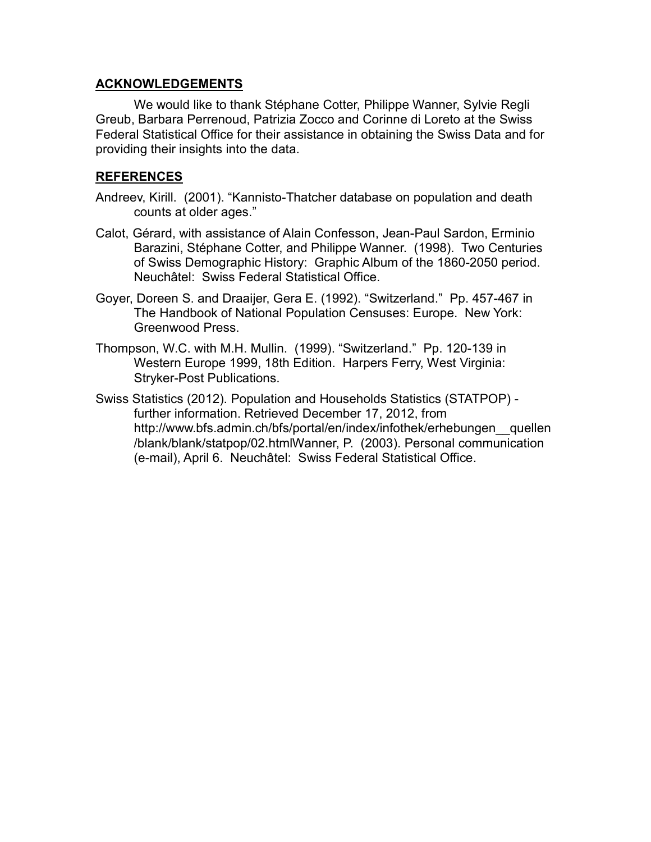### ACKNOWLEDGEMENTS

We would like to thank Stéphane Cotter, Philippe Wanner, Sylvie Regli Greub, Barbara Perrenoud, Patrizia Zocco and Corinne di Loreto at the Swiss Federal Statistical Office for their assistance in obtaining the Swiss Data and for providing their insights into the data.

### REFERENCES

- Andreev, Kirill. (2001). "Kannisto-Thatcher database on population and death counts at older ages."
- Calot, Gérard, with assistance of Alain Confesson, Jean-Paul Sardon, Erminio Barazini, Stéphane Cotter, and Philippe Wanner. (1998). Two Centuries of Swiss Demographic History: Graphic Album of the 1860-2050 period. Neuchâtel: Swiss Federal Statistical Office.
- Goyer, Doreen S. and Draaijer, Gera E. (1992). "Switzerland." Pp. 457-467 in The Handbook of National Population Censuses: Europe. New York: Greenwood Press.
- Thompson, W.C. with M.H. Mullin. (1999). "Switzerland." Pp. 120-139 in Western Europe 1999, 18th Edition. Harpers Ferry, West Virginia: Stryker-Post Publications.
- Swiss Statistics (2012). Population and Households Statistics (STATPOP) further information. Retrieved December 17, 2012, from http://www.bfs.admin.ch/bfs/portal/en/index/infothek/erhebungen\_\_quellen /blank/blank/statpop/02.htmlWanner, P. (2003). Personal communication (e-mail), April 6. Neuchâtel: Swiss Federal Statistical Office.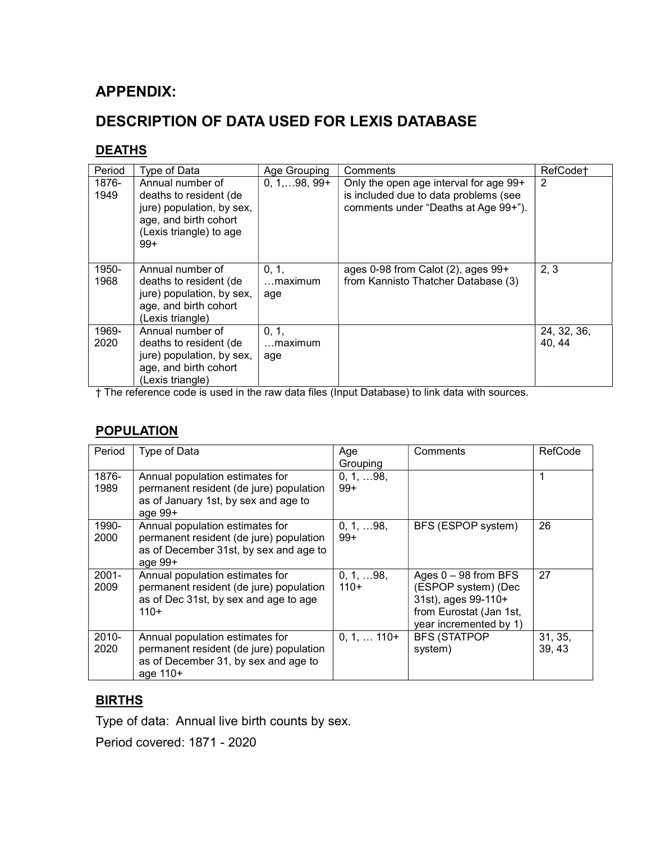## APPENDIX:

# DESCRIPTION OF DATA USED FOR LEXIS DATABASE

### **DEATHS**

| Period        | Type of Data                                                                                                                         | Age Grouping                    | Comments                                                                                                                | RefCode†              |
|---------------|--------------------------------------------------------------------------------------------------------------------------------------|---------------------------------|-------------------------------------------------------------------------------------------------------------------------|-----------------------|
| 1876-<br>1949 | Annual number of<br>deaths to resident (de<br>jure) population, by sex,<br>age, and birth cohort<br>(Lexis triangle) to age<br>$99+$ | $0, 1, \ldots 98, 99+$          | Only the open age interval for age 99+<br>is included due to data problems (see<br>comments under "Deaths at Age 99+"). | 2                     |
| 1950-<br>1968 | Annual number of<br>deaths to resident (de<br>jure) population, by sex,<br>age, and birth cohort<br>(Lexis triangle)                 | 0, 1,<br>$\dots$ maximum<br>age | ages $0-98$ from Calot $(2)$ , ages $99+$<br>from Kannisto Thatcher Database (3)                                        | 2, 3                  |
| 1969-<br>2020 | Annual number of<br>deaths to resident (de<br>jure) population, by sex,<br>age, and birth cohort<br>(Lexis triangle)                 | 0, 1,<br>…maximum<br>age        |                                                                                                                         | 24, 32, 36,<br>40, 44 |

† The reference code is used in the raw data files (Input Database) to link data with sources.

## **POPULATION**

| Period           | Type of Data                                                                                                                      | Age<br>Grouping              | Comments                                                                                                                  | RefCode           |
|------------------|-----------------------------------------------------------------------------------------------------------------------------------|------------------------------|---------------------------------------------------------------------------------------------------------------------------|-------------------|
| 1876-<br>1989    | Annual population estimates for<br>permanent resident (de jure) population<br>as of January 1st, by sex and age to<br>age $99+$   | 0, 1, 98,<br>$99+$           |                                                                                                                           | 1                 |
| 1990-<br>2000    | Annual population estimates for<br>permanent resident (de jure) population<br>as of December 31st, by sex and age to<br>age $99+$ | $0, 1, \ldots 98,$<br>$99+$  | BFS (ESPOP system)                                                                                                        | 26                |
| $2001 -$<br>2009 | Annual population estimates for<br>permanent resident (de jure) population<br>as of Dec 31st, by sex and age to age<br>$110+$     | $0, 1, \ldots 98,$<br>$110+$ | Ages $0 - 98$ from BFS<br>(ESPOP system) (Dec<br>31st), ages 99-110+<br>from Eurostat (Jan 1st,<br>year incremented by 1) | 27                |
| $2010 -$<br>2020 | Annual population estimates for<br>permanent resident (de jure) population<br>as of December 31, by sex and age to<br>age 110+    | $0, 1, \ldots 110+$          | <b>BFS (STATPOP</b><br>system)                                                                                            | 31, 35,<br>39, 43 |

## **BIRTHS**

Type of data: Annual live birth counts by sex.

Period covered: 1871 - 2020